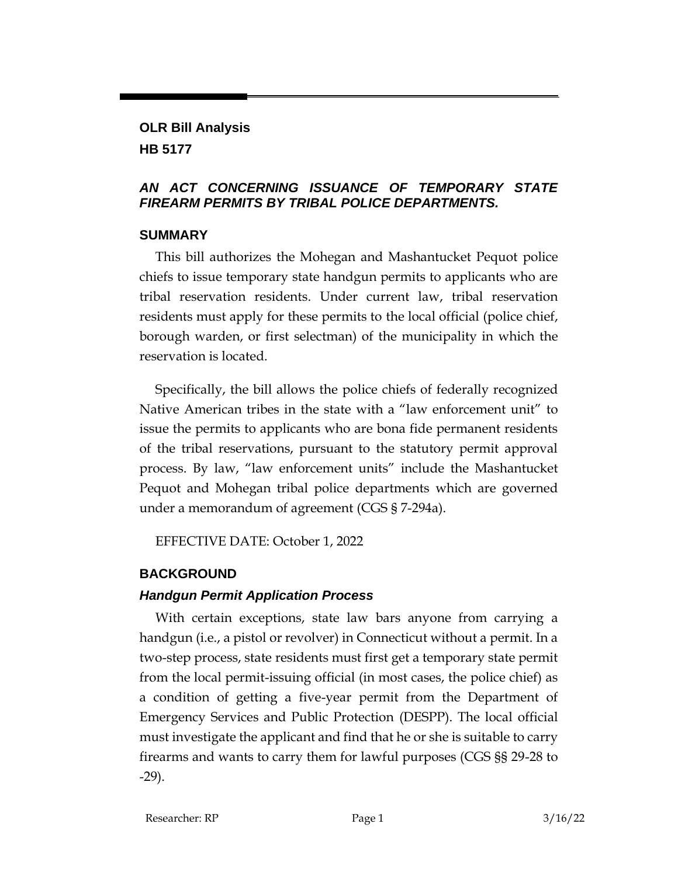#### **OLR Bill Analysis HB 5177**

## *AN ACT CONCERNING ISSUANCE OF TEMPORARY STATE FIREARM PERMITS BY TRIBAL POLICE DEPARTMENTS.*

#### **SUMMARY**

This bill authorizes the Mohegan and Mashantucket Pequot police chiefs to issue temporary state handgun permits to applicants who are tribal reservation residents. Under current law, tribal reservation residents must apply for these permits to the local official (police chief, borough warden, or first selectman) of the municipality in which the reservation is located.

Specifically, the bill allows the police chiefs of federally recognized Native American tribes in the state with a "law enforcement unit" to issue the permits to applicants who are bona fide permanent residents of the tribal reservations, pursuant to the statutory permit approval process. By law, "law enforcement units" include the Mashantucket Pequot and Mohegan tribal police departments which are governed under a memorandum of agreement (CGS § 7-294a).

EFFECTIVE DATE: October 1, 2022

# **BACKGROUND**

# *Handgun Permit Application Process*

With certain exceptions, state law bars anyone from carrying a handgun (i.e., a pistol or revolver) in Connecticut without a permit. In a two-step process, state residents must first get a temporary state permit from the local permit-issuing official (in most cases, the police chief) as a condition of getting a five-year permit from the Department of Emergency Services and Public Protection (DESPP). The local official must investigate the applicant and find that he or she is suitable to carry firearms and wants to carry them for lawful purposes (CGS §§ 29-28 to -29).